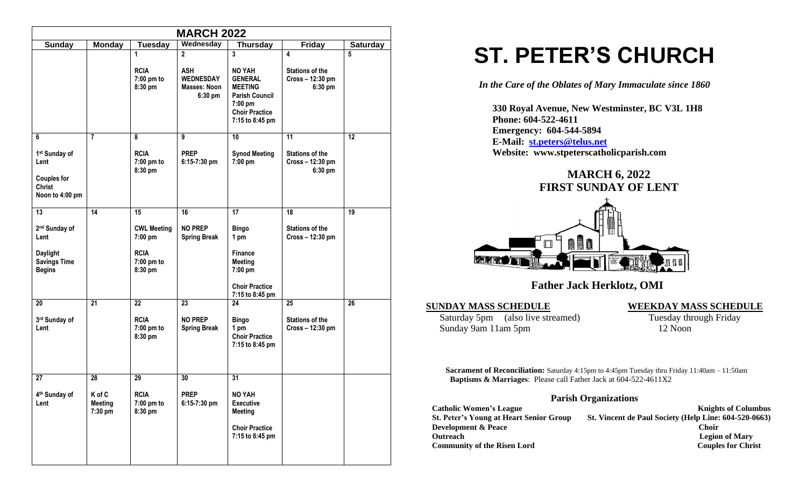| <b>MARCH 2022</b>                                                                                             |                              |                                        |                                             |                                                                                                                  |                                                       |    |
|---------------------------------------------------------------------------------------------------------------|------------------------------|----------------------------------------|---------------------------------------------|------------------------------------------------------------------------------------------------------------------|-------------------------------------------------------|----|
| Wednesday<br><b>Friday</b><br><b>Sunday</b><br><b>Monday</b><br><b>Tuesday</b><br>Thursday<br><b>Saturday</b> |                              |                                        |                                             |                                                                                                                  |                                                       |    |
|                                                                                                               |                              | 1<br><b>RCIA</b>                       | $\overline{2}$<br><b>ASH</b>                | 3<br><b>NO YAH</b>                                                                                               | 4<br><b>Stations of the</b>                           | 5  |
|                                                                                                               |                              | 7:00 pm to<br>8:30 pm                  | <b>WEDNESDAY</b><br>Masses: Noon<br>6:30 pm | <b>GENERAL</b><br><b>MEETING</b><br><b>Parish Council</b><br>7:00 pm<br><b>Choir Practice</b><br>7:15 to 8:45 pm | Cross-12:30 pm<br>6:30 pm                             |    |
| 6                                                                                                             | $\overline{7}$               | 8                                      | 9                                           | 10                                                                                                               | 11                                                    | 12 |
| 1 <sup>st</sup> Sunday of<br>Lent<br><b>Couples for</b><br><b>Christ</b>                                      |                              | <b>RCIA</b><br>7:00 pm to<br>8:30 pm   | <b>PREP</b><br>6:15-7:30 pm                 | <b>Synod Meeting</b><br>7:00 pm                                                                                  | <b>Stations of the</b><br>Cross - 12:30 pm<br>6:30 pm |    |
| Noon to 4:00 pm                                                                                               |                              |                                        |                                             |                                                                                                                  |                                                       |    |
| 13                                                                                                            | 14                           | 15                                     | 16                                          | 17                                                                                                               | 18                                                    | 19 |
| 2 <sup>nd</sup> Sunday of<br>Lent                                                                             |                              | <b>CWL Meeting</b><br>7:00 pm          | <b>NO PREP</b><br><b>Spring Break</b>       | <b>Bingo</b><br>1 pm                                                                                             | <b>Stations of the</b><br>Cross - 12:30 pm            |    |
| <b>Daylight</b><br><b>Savings Time</b><br><b>Begins</b>                                                       |                              | <b>RCIA</b><br>7:00 pm to<br>8:30 pm   |                                             | Finance<br><b>Meeting</b><br>7:00 pm                                                                             |                                                       |    |
|                                                                                                               |                              |                                        |                                             | <b>Choir Practice</b><br>7:15 to 8:45 pm                                                                         |                                                       |    |
| 20                                                                                                            | 21                           | 22                                     | 23                                          | 24                                                                                                               | 25                                                    | 26 |
| 3rd Sunday of<br>Lent                                                                                         |                              | <b>RCIA</b><br>7:00 pm to<br>8:30 pm   | <b>NO PREP</b><br><b>Spring Break</b>       | <b>Bingo</b><br>1 pm<br><b>Choir Practice</b><br>7:15 to 8:45 pm                                                 | <b>Stations of the</b><br>Cross - 12:30 pm            |    |
| $\overline{27}$                                                                                               | 28                           | 29                                     | 30                                          | $\overline{31}$                                                                                                  |                                                       |    |
| 4th Sunday of<br>Lent                                                                                         | K of C<br>Meeting<br>7:30 pm | <b>RCIA</b><br>$7:00$ pm to<br>8:30 pm | <b>PREP</b><br>6:15-7:30 pm                 | <b>NO YAH</b><br><b>Executive</b><br><b>Meeting</b><br><b>Choir Practice</b><br>7:15 to 8:45 pm                  |                                                       |    |

# **ST. PETER'S CHURCH**

*In the Care of the Oblates of Mary Immaculate since 1860*

 **330 Royal Avenue, New Westminster, BC V3L 1H8 Phone: 604-522-4611 Emergency: 604-544-5894 E-Mail: [st.peters@telus.net](mailto:st.peters@telus.net) Website: www.stpeterscatholicparish.com**

## **MARCH 6, 2022 FIRST SUNDAY OF LENT**



 **Father Jack Herklotz, OMI**

**SUNDAY MASS SCHEDULE**<br>
Saturday 5pm (also live streamed) **WEEKDAY MASS SCHEDULE**<br>
Tuesday through Friday Saturday 5pm (also live streamed) Sunday 9am 11am 5pm 12 Noon

**Sacrament of Reconciliation:** Saturday 4:15pm to 4:45pm Tuesday thru Friday 11:40am – 11:50am  **Baptisms & Marriages**: Please call Father Jack at 604-522-4611X2

#### **Parish Organizations**

| <b>Catholic Women's League</b>                 | <b>Knights of Columbus</b>                            |
|------------------------------------------------|-------------------------------------------------------|
| <b>St. Peter's Young at Heart Senior Group</b> | St. Vincent de Paul Society (Help Line: 604-520-0663) |
| <b>Development &amp; Peace</b>                 | <b>Choir</b>                                          |
| <b>Outreach</b>                                | <b>Legion of Mary</b>                                 |
| <b>Community of the Risen Lord</b>             | <b>Couples for Christ</b>                             |